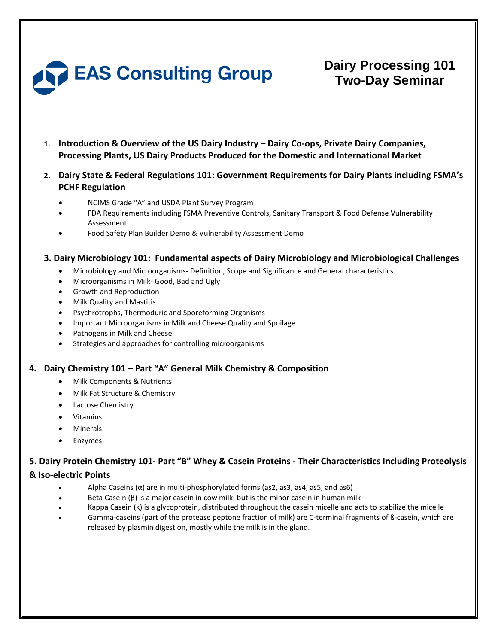

# **Dairy Processing 101 Two-Day Seminar**

**1. Introduction & Overview of the US Dairy Industry – Dairy Co-ops, Private Dairy Companies, Processing Plants, US Dairy Products Produced for the Domestic and International Market**

# **2. Dairy State & Federal Regulations 101: Government Requirements for Dairy Plants including FSMA's PCHF Regulation**

- NCIMS Grade "A" and USDA Plant Survey Program
- FDA Requirements including FSMA Preventive Controls, Sanitary Transport & Food Defense Vulnerability Assessment
- Food Safety Plan Builder Demo & Vulnerability Assessment Demo

## **3. 3. Dairy Microbiology 101: Fundamental aspects of Dairy Microbiology and Microbiological Challenges**

- Microbiology and Microorganisms- Definition, Scope and Significance and General characteristics
- Microorganisms in Milk- Good, Bad and Ugly
- Growth and Reproduction
- Milk Quality and Mastitis
- Psychrotrophs, Thermoduric and Sporeforming Organisms
- Important Microorganisms in Milk and Cheese Quality and Spoilage
- Pathogens in Milk and Cheese
- Strategies and approaches for controlling microorganisms

# **4. Dairy Chemistry 101 – Part "A" General Milk Chemistry & Composition**

- Milk Components & Nutrients
- Milk Fat Structure & Chemistry
- Lactose Chemistry
- Vitamins
- **Minerals**
- **Enzymes**

# **5. Dairy Protein Chemistry 101- Part "B" Whey & Casein Proteins - Their Characteristics Including Proteolysis**

### **& Iso-electric Points**

- Alpha Caseins ( $\alpha$ ) are in multi-phosphorylated forms (as2, as3, as4, as5, and as6)
- Beta Casein (β) is a major casein in cow milk, but is the minor casein in human milk
- Kappa Casein (k) is a glycoprotein, distributed throughout the casein micelle and acts to stabilize the micelle
- Gamma-caseins (part of the protease peptone fraction of milk) are C-terminal fragments of ß-casein, which are released by plasmin digestion, mostly while the milk is in the gland.